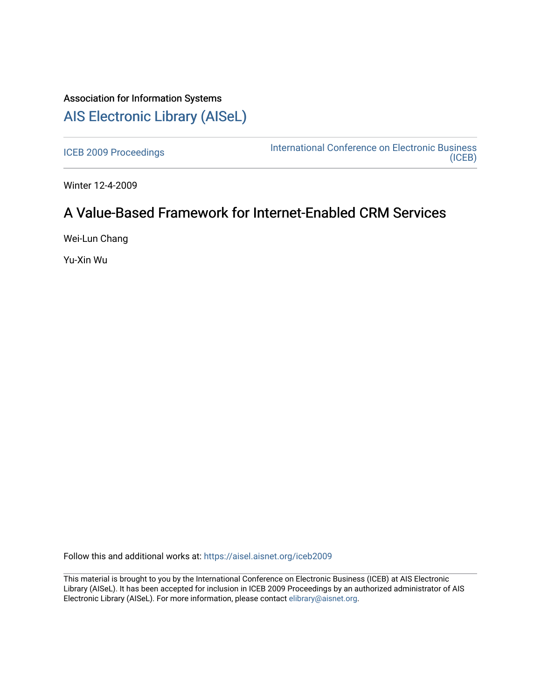# Association for Information Systems [AIS Electronic Library \(AISeL\)](https://aisel.aisnet.org/)

[ICEB 2009 Proceedings](https://aisel.aisnet.org/iceb2009) **International Conference on Electronic Business** [\(ICEB\)](https://aisel.aisnet.org/iceb) 

Winter 12-4-2009

# A Value-Based Framework for Internet-Enabled CRM Services

Wei-Lun Chang

Yu-Xin Wu

Follow this and additional works at: [https://aisel.aisnet.org/iceb2009](https://aisel.aisnet.org/iceb2009?utm_source=aisel.aisnet.org%2Ficeb2009%2F43&utm_medium=PDF&utm_campaign=PDFCoverPages)

This material is brought to you by the International Conference on Electronic Business (ICEB) at AIS Electronic Library (AISeL). It has been accepted for inclusion in ICEB 2009 Proceedings by an authorized administrator of AIS Electronic Library (AISeL). For more information, please contact [elibrary@aisnet.org.](mailto:elibrary@aisnet.org%3E)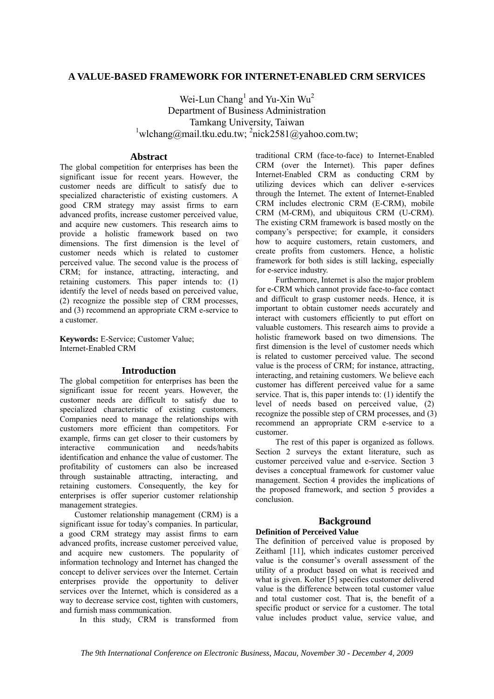# **A VALUE-BASED FRAMEWORK FOR INTERNET-ENABLED CRM SERVICES**

Wei-Lun Chang<sup>1</sup> and Yu-Xin Wu<sup>2</sup> Department of Business Administration Tamkang University, Taiwan <sup>1</sup>wlchang@mail.tku.edu.tw; <sup>2</sup>nick2581@yahoo.com.tw;

## **Abstract**

The global competition for enterprises has been the significant issue for recent years. However, the customer needs are difficult to satisfy due to specialized characteristic of existing customers. A good CRM strategy may assist firms to earn advanced profits, increase customer perceived value, and acquire new customers. This research aims to provide a holistic framework based on two dimensions. The first dimension is the level of customer needs which is related to customer perceived value. The second value is the process of CRM; for instance, attracting, interacting, and retaining customers. This paper intends to: (1) identify the level of needs based on perceived value, (2) recognize the possible step of CRM processes, and (3) recommend an appropriate CRM e-service to a customer.

**Keywords:** E-Service; Customer Value; Internet-Enabled CRM

## **Introduction**

The global competition for enterprises has been the significant issue for recent years. However, the customer needs are difficult to satisfy due to specialized characteristic of existing customers. Companies need to manage the relationships with customers more efficient than competitors. For example, firms can get closer to their customers by interactive communication and needs/habits identification and enhance the value of customer. The profitability of customers can also be increased through sustainable attracting, interacting, and retaining customers. Consequently, the key for enterprises is offer superior customer relationship management strategies.

Customer relationship management (CRM) is a significant issue for today's companies. In particular, a good CRM strategy may assist firms to earn advanced profits, increase customer perceived value, and acquire new customers. The popularity of information technology and Internet has changed the concept to deliver services over the Internet. Certain enterprises provide the opportunity to deliver services over the Internet, which is considered as a way to decrease service cost, tighten with customers, and furnish mass communication.

In this study, CRM is transformed from

traditional CRM (face-to-face) to Internet-Enabled CRM (over the Internet). This paper defines Internet-Enabled CRM as conducting CRM by utilizing devices which can deliver e-services through the Internet. The extent of Internet-Enabled CRM includes electronic CRM (E-CRM), mobile CRM (M-CRM), and ubiquitous CRM (U-CRM). The existing CRM framework is based mostly on the company's perspective; for example, it considers how to acquire customers, retain customers, and create profits from customers. Hence, a holistic framework for both sides is still lacking, especially for e-service industry.

 Furthermore, Internet is also the major problem for e-CRM which cannot provide face-to-face contact and difficult to grasp customer needs. Hence, it is important to obtain customer needs accurately and interact with customers efficiently to put effort on valuable customers. This research aims to provide a holistic framework based on two dimensions. The first dimension is the level of customer needs which is related to customer perceived value. The second value is the process of CRM; for instance, attracting, interacting, and retaining customers. We believe each customer has different perceived value for a same service. That is, this paper intends to: (1) identify the level of needs based on perceived value, (2) recognize the possible step of CRM processes, and (3) recommend an appropriate CRM e-service to a customer.

The rest of this paper is organized as follows. Section 2 surveys the extant literature, such as customer perceived value and e-service. Section 3 devises a conceptual framework for customer value management. Section 4 provides the implications of the proposed framework, and section 5 provides a conclusion.

## **Background**

## **Definition of Perceived Value**

The definition of perceived value is proposed by Zeithaml [11], which indicates customer perceived value is the consumer's overall assessment of the utility of a product based on what is received and what is given. Kolter [5] specifies customer delivered value is the difference between total customer value and total customer cost. That is, the benefit of a specific product or service for a customer. The total value includes product value, service value, and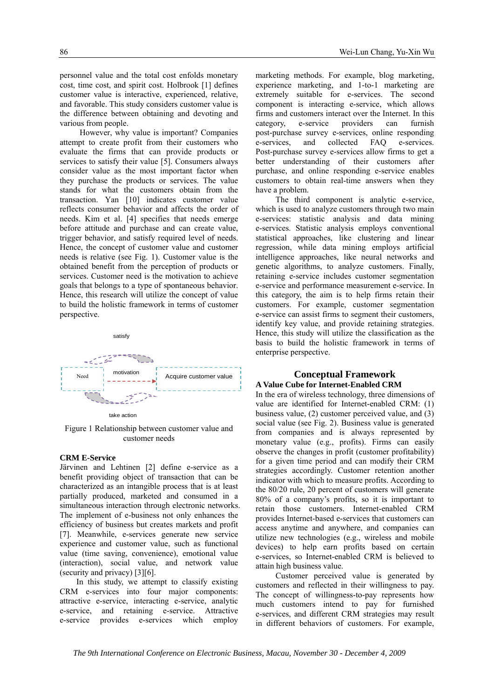personnel value and the total cost enfolds monetary cost, time cost, and spirit cost. Holbrook [1] defines customer value is interactive, experienced, relative, and favorable. This study considers customer value is the difference between obtaining and devoting and various from people.

However, why value is important? Companies attempt to create profit from their customers who evaluate the firms that can provide products or services to satisfy their value [5]. Consumers always consider value as the most important factor when they purchase the products or services. The value stands for what the customers obtain from the transaction. Yan [10] indicates customer value reflects consumer behavior and affects the order of needs. Kim et al. [4] specifies that needs emerge before attitude and purchase and can create value, trigger behavior, and satisfy required level of needs. Hence, the concept of customer value and customer needs is relative (see Fig. 1). Customer value is the obtained benefit from the perception of products or services. Customer need is the motivation to achieve goals that belongs to a type of spontaneous behavior. Hence, this research will utilize the concept of value to build the holistic framework in terms of customer perspective.



Figure 1 Relationship between customer value and customer needs

#### **CRM E-Service**

Järvinen and Lehtinen [2] define e-service as a benefit providing object of transaction that can be characterized as an intangible process that is at least partially produced, marketed and consumed in a simultaneous interaction through electronic networks. The implement of e-business not only enhances the efficiency of business but creates markets and profit [7]. Meanwhile, e-services generate new service experience and customer value, such as functional value (time saving, convenience), emotional value (interaction), social value, and network value (security and privacy) [3][6].

In this study, we attempt to classify existing CRM e-services into four major components: attractive e-service, interacting e-service, analytic e-service, and retaining e-service. Attractive e-service provides e-services which employ

marketing methods. For example, blog marketing, experience marketing, and 1-to-1 marketing are extremely suitable for e-services. The second component is interacting e-service, which allows firms and customers interact over the Internet. In this category, e-service providers can furnish post-purchase survey e-services, online responding e-services, and collected FAQ e-services. Post-purchase survey e-services allow firms to get a better understanding of their customers after purchase, and online responding e-service enables customers to obtain real-time answers when they have a problem.

 The third component is analytic e-service, which is used to analyze customers through two main e-services: statistic analysis and data mining e-services. Statistic analysis employs conventional statistical approaches, like clustering and linear regression, while data mining employs artificial intelligence approaches, like neural networks and genetic algorithms, to analyze customers. Finally, retaining e-service includes customer segmentation e-service and performance measurement e-service. In this category, the aim is to help firms retain their customers. For example, customer segmentation e-service can assist firms to segment their customers, identify key value, and provide retaining strategies. Hence, this study will utilize the classification as the basis to build the holistic framework in terms of enterprise perspective.

### **Conceptual Framework A Value Cube for Internet-Enabled CRM**

In the era of wireless technology, three dimensions of value are identified for Internet-enabled CRM: (1) business value, (2) customer perceived value, and (3) social value (see Fig. 2). Business value is generated from companies and is always represented by monetary value (e.g., profits). Firms can easily observe the changes in profit (customer profitability) for a given time period and can modify their CRM strategies accordingly. Customer retention another indicator with which to measure profits. According to the 80/20 rule, 20 percent of customers will generate 80% of a company's profits, so it is important to retain those customers. Internet-enabled CRM provides Internet-based e-services that customers can access anytime and anywhere, and companies can utilize new technologies (e.g., wireless and mobile devices) to help earn profits based on certain e-services, so Internet-enabled CRM is believed to attain high business value.

 Customer perceived value is generated by customers and reflected in their willingness to pay. The concept of willingness-to-pay represents how much customers intend to pay for furnished e-services, and different CRM strategies may result in different behaviors of customers. For example,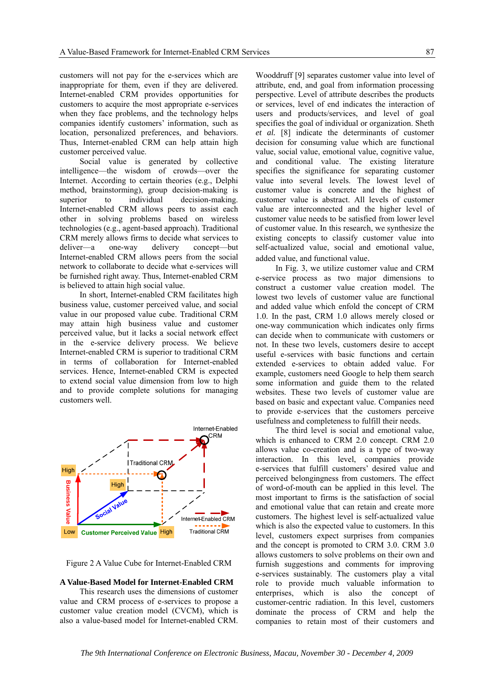customers will not pay for the e-services which are inappropriate for them, even if they are delivered. Internet-enabled CRM provides opportunities for customers to acquire the most appropriate e-services when they face problems, and the technology helps companies identify customers' information, such as location, personalized preferences, and behaviors. Thus, Internet-enabled CRM can help attain high customer perceived value.

 Social value is generated by collective intelligence—the wisdom of crowds—over the Internet. According to certain theories (e.g., Delphi method, brainstorming), group decision-making is superior to individual decision-making. Internet-enabled CRM allows peers to assist each other in solving problems based on wireless technologies (e.g., agent-based approach). Traditional CRM merely allows firms to decide what services to deliver—a one-way delivery concept—but Internet-enabled CRM allows peers from the social network to collaborate to decide what e-services will be furnished right away. Thus, Internet-enabled CRM is believed to attain high social value.

In short, Internet-enabled CRM facilitates high business value, customer perceived value, and social value in our proposed value cube. Traditional CRM may attain high business value and customer perceived value, but it lacks a social network effect in the e-service delivery process. We believe Internet-enabled CRM is superior to traditional CRM in terms of collaboration for Internet-enabled services. Hence, Internet-enabled CRM is expected to extend social value dimension from low to high and to provide complete solutions for managing customers well.



Figure 2 A Value Cube for Internet-Enabled CRM

#### **A Value-Based Model for Internet-Enabled CRM**

This research uses the dimensions of customer value and CRM process of e-services to propose a customer value creation model (CVCM), which is also a value-based model for Internet-enabled CRM. Wooddruff [9] separates customer value into level of attribute, end, and goal from information processing perspective. Level of attribute describes the products or services, level of end indicates the interaction of users and products/services, and level of goal specifies the goal of individual or organization. Sheth *et al.* [8] indicate the determinants of customer decision for consuming value which are functional value, social value, emotional value, cognitive value, and conditional value. The existing literature specifies the significance for separating customer value into several levels. The lowest level of customer value is concrete and the highest of customer value is abstract. All levels of customer value are interconnected and the higher level of customer value needs to be satisfied from lower level of customer value. In this research, we synthesize the existing concepts to classify customer value into self-actualized value, social and emotional value, added value, and functional value. In Fig. 3, we utilize customer value and CRM

e-service process as two major dimensions to construct a customer value creation model. The lowest two levels of customer value are functional and added value which enfold the concept of CRM 1.0. In the past, CRM 1.0 allows merely closed or one-way communication which indicates only firms can decide when to communicate with customers or not. In these two levels, customers desire to accept useful e-services with basic functions and certain extended e-services to obtain added value. For example, customers need Google to help them search some information and guide them to the related websites. These two levels of customer value are based on basic and expectant value. Companies need to provide e-services that the customers perceive usefulness and completeness to fulfill their needs.

The third level is social and emotional value, which is enhanced to CRM 2.0 concept. CRM 2.0 allows value co-creation and is a type of two-way interaction. In this level, companies provide e-services that fulfill customers' desired value and perceived belongingness from customers. The effect of word-of-mouth can be applied in this level. The most important to firms is the satisfaction of social and emotional value that can retain and create more customers. The highest level is self-actualized value which is also the expected value to customers. In this level, customers expect surprises from companies and the concept is promoted to CRM 3.0. CRM 3.0 allows customers to solve problems on their own and furnish suggestions and comments for improving e-services sustainably. The customers play a vital role to provide much valuable information to enterprises, which is also the concept of customer-centric radiation. In this level, customers dominate the process of CRM and help the companies to retain most of their customers and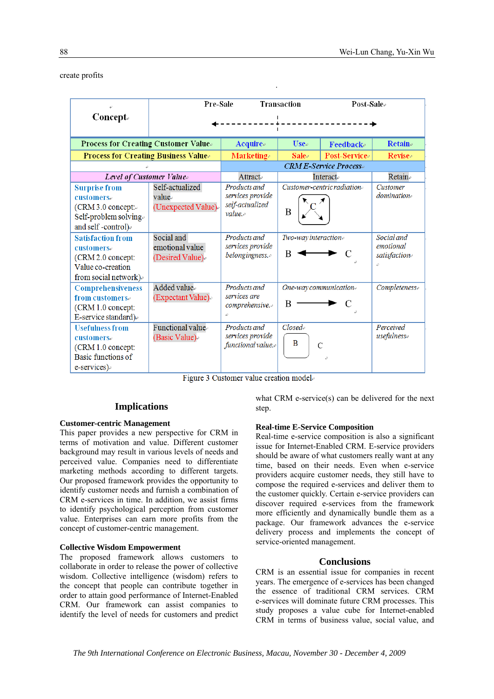create profits

.

| Ł.                                                                                                            | Pre-Sale                                          |                                                                        | Transaction                      | Post-Sale     |                                                      |
|---------------------------------------------------------------------------------------------------------------|---------------------------------------------------|------------------------------------------------------------------------|----------------------------------|---------------|------------------------------------------------------|
| <b>Concept</b>                                                                                                | ------------                                      |                                                                        |                                  |               |                                                      |
| <b>Process for Creating Customer Value.</b>                                                                   |                                                   | Acquire <sub>e</sub>                                                   | Use <sub>e</sub>                 | Feedback      | <b>Retain</b>                                        |
| <b>Process for Creating Business Value</b>                                                                    |                                                   | <b>Marketing</b>                                                       | Sale <sub>e</sub>                | Post-Servicee | <b>Revise</b>                                        |
|                                                                                                               |                                                   | <b>CRM E-Service Process</b> ®                                         |                                  |               |                                                      |
| Level of Customer Value.                                                                                      |                                                   | <b>Attract</b>                                                         | Interact                         |               | Retain-                                              |
| <b>Surprise from</b><br>customers.<br>(CRM 3.0 concept: $\phi$<br>Self-problem solving.<br>and self-control). | Self-actualized<br>value.<br>(Unexpected Value)   | Products and<br>services provide<br>self-actualized<br>value.          | Customer-centric radiation.<br>B |               | Customer<br>$domination_{e}$                         |
| <b>Satisfaction from</b><br>customers.<br>(CRM 2.0 concept:<br>Value co-creation<br>from social network).     | Social and<br>emotional value<br>(Desired Value). | Products and<br>services provide<br>belongingness.                     | Two-way interaction-<br>B        |               | Social and<br>emotional<br><i>satisfaction</i><br>£, |
| Comprehensiveness<br>from customers.<br>(CRM 1.0 concept:<br>E-service standard).                             | Added value.<br>(Expectant Value)                 | Products and<br>services are<br>$comprehensive. \nightharpoonup$<br>é. | One-way communication-<br>B      |               | Completenesse                                        |
| <b>Usefulness from</b><br>customers.<br>(CRM 1.0 concept:<br>Basic functions of<br>e-services).               | Functional value.<br>(Basic Value)                | Products and<br>services provide<br>functional value.                  | $Closed-$<br>B<br>$\overline{C}$ |               | Perceived<br>usefulness <sub>e</sub>                 |

Figure 3 Customer value creation model.

# **Implications**

## **Customer-centric Management**

This paper provides a new perspective for CRM in terms of motivation and value. Different customer background may result in various levels of needs and perceived value. Companies need to differentiate marketing methods according to different targets. Our proposed framework provides the opportunity to identify customer needs and furnish a combination of CRM e-services in time. In addition, we assist firms to identify psychological perception from customer value. Enterprises can earn more profits from the concept of customer-centric management.

#### **Collective Wisdom Empowerment**

The proposed framework allows customers to collaborate in order to release the power of collective wisdom. Collective intelligence (wisdom) refers to the concept that people can contribute together in order to attain good performance of Internet-Enabled CRM. Our framework can assist companies to identify the level of needs for customers and predict what CRM e-service(s) can be delivered for the next step.

#### **Real-time E-Service Composition**

Real-time e-service composition is also a significant issue for Internet-Enabled CRM. E-service providers should be aware of what customers really want at any time, based on their needs. Even when e-service providers acquire customer needs, they still have to compose the required e-services and deliver them to the customer quickly. Certain e-service providers can discover required e-services from the framework more efficiently and dynamically bundle them as a package. Our framework advances the e-service delivery process and implements the concept of service-oriented management.

# **Conclusions**

CRM is an essential issue for companies in recent years. The emergence of e-services has been changed the essence of traditional CRM services. CRM e-services will dominate future CRM processes. This study proposes a value cube for Internet-enabled CRM in terms of business value, social value, and